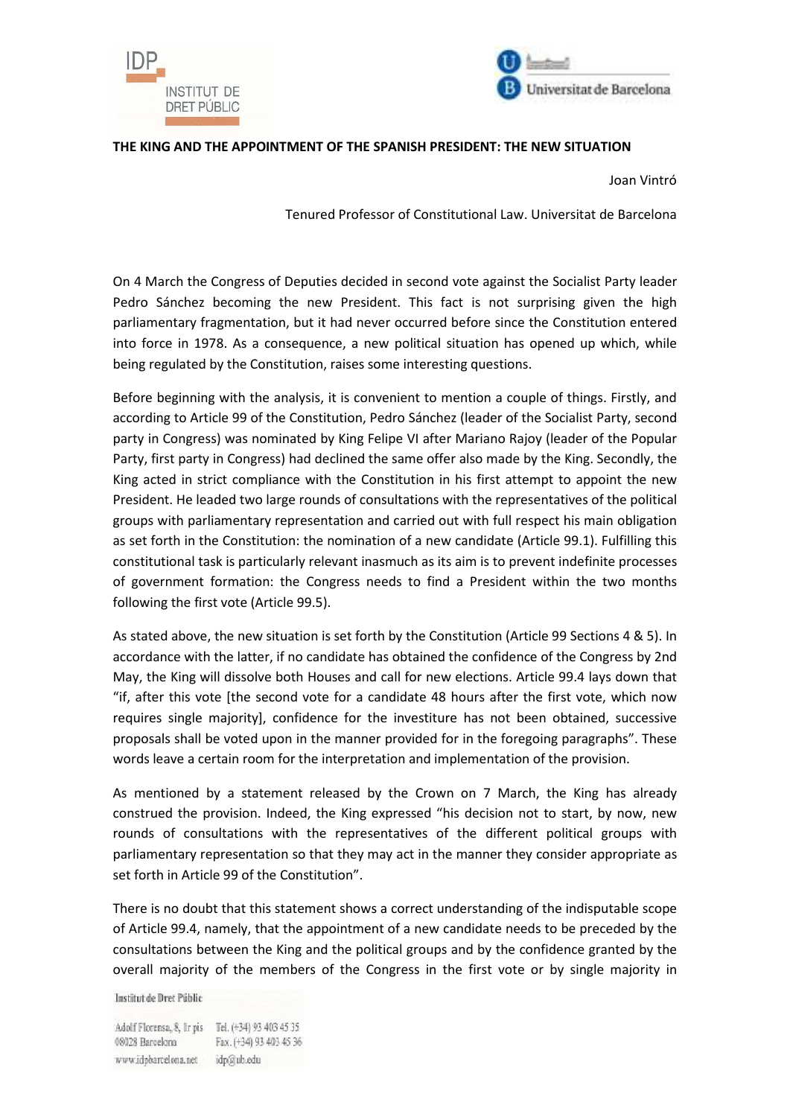



## **THE KING AND THE APPOINTMENT OF THE SPANISH PRESIDENT: THE NEW SITUATION**

Joan Vintró

Tenured Professor of Constitutional Law. Universitat de Barcelona

On 4 March the Congress of Deputies decided in second vote against the Socialist Party leader Pedro Sánchez becoming the new President. This fact is not surprising given the high parliamentary fragmentation, but it had never occurred before since the Constitution entered into force in 1978. As a consequence, a new political situation has opened up which, while being regulated by the Constitution, raises some interesting questions.

Before beginning with the analysis, it is convenient to mention a couple of things. Firstly, and according to Article 99 of the Constitution, Pedro Sánchez (leader of the Socialist Party, second party in Congress) was nominated by King Felipe VI after Mariano Rajoy (leader of the Popular Party, first party in Congress) had declined the same offer also made by the King. Secondly, the King acted in strict compliance with the Constitution in his first attempt to appoint the new President. He leaded two large rounds of consultations with the representatives of the political groups with parliamentary representation and carried out with full respect his main obligation as set forth in the Constitution: the nomination of a new candidate (Article 99.1). Fulfilling this constitutional task is particularly relevant inasmuch as its aim is to prevent indefinite processes of government formation: the Congress needs to find a President within the two months following the first vote (Article 99.5).

As stated above, the new situation is set forth by the Constitution (Article 99 Sections 4 & 5). In accordance with the latter, if no candidate has obtained the confidence of the Congress by 2nd May, the King will dissolve both Houses and call for new elections. Article 99.4 lays down that "if, after this vote [the second vote for a candidate 48 hours after the first vote, which now requires single majority], confidence for the investiture has not been obtained, successive proposals shall be voted upon in the manner provided for in the foregoing paragraphs". These words leave a certain room for the interpretation and implementation of the provision.

As mentioned by a statement released by the Crown on 7 March, the King has already construed the provision. Indeed, the King expressed "his decision not to start, by now, new rounds of consultations with the representatives of the different political groups with parliamentary representation so that they may act in the manner they consider appropriate as set forth in Article 99 of the Constitution".

There is no doubt that this statement shows a correct understanding of the indisputable scope of Article 99.4, namely, that the appointment of a new candidate needs to be preceded by the consultations between the King and the political groups and by the confidence granted by the overall majority of the members of the Congress in the first vote or by single majority in

Institut de Dret Públic

Adolf Florensa, 8, Ir pis Tel. (+34) 93 403 45 35 08028 Barcelona Fax. (+34) 93 403 45 36 www.idpbarcelona.net idp@ub.edu